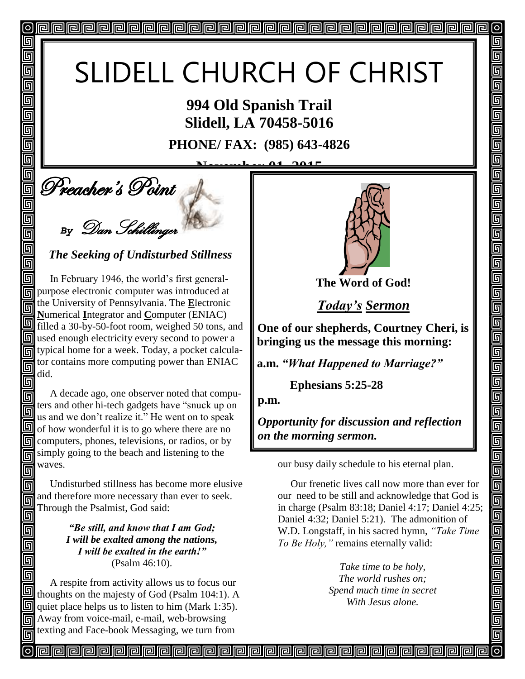# SLIDELL CHURCH OF CHRIST

**994 Old Spanish Trail Slidell, LA 70458-5016**

**PHONE/ FAX: (985) 643-4826**

<u>November 01, 2015</u>

**Deacher's Point** 

回

回 回 同 回

回 回

回

回

回 回 回 回

同

同 回

Π

回

同

*By* Dan Schillinger

*The Seeking of Undisturbed Stillness*

 In February 1946, the world's first generalpurpose electronic computer was introduced at the University of Pennsylvania. The **E**lectronic 同 **N**umerical **I**ntegrator and **C**omputer (ENIAC) filled a 30-by-50-foot room, weighed 50 tons, and **I** used enough electricity every second to power a typical home for a week. Today, a pocket calculator contains more computing power than ENIAC did.

 A decade ago, one observer noted that compu-同 ters and other hi-tech gadgets have "snuck up on 同 us and we don't realize it." He went on to speak  $\Box$  of how wonderful it is to go where there are no **同** computers, phones, televisions, or radios, or by simply going to the beach and listening to the 同 waves. 同

 Undisturbed stillness has become more elusive 同 and therefore more necessary than ever to seek. 同 Through the Psalmist, God said: 回

> *"Be still, and know that I am God; I will be exalted among the nations, I will be exalted in the earth!"* (Psalm 46:10).

 A respite from activity allows us to focus our thoughts on the majesty of God (Psalm 104:1). A quiet place helps us to listen to him (Mark 1:35). Away from voice-mail, e-mail, web-browsing texting and Face-book Messaging, we turn from



 $\vert$ o $\vert$ 

回

5

呵

5

 $\overline{\mathbb{F}}$ 

5

5

 $\overline{\mathbb{F}}$ 5 <u>同</u> 5

回

回 5 Ō

<u>Fieir</u>

<u>Fieir</u>

 $\overline{\mathbb{F}}$ 回 5

回  $\overline{\overline{\mathbb{g}}}$ 回

回

**The Word of God!**

*Today's Sermon*

**One of our shepherds, Courtney Cheri, is bringing us the message this morning:** 

**a.m.** *"What Happened to Marriage?"*

 **Ephesians 5:25-28**

**p.m.**

*Opportunity for discussion and reflection on the morning sermon.* 

our busy daily schedule to his eternal plan.

 Our frenetic lives call now more than ever for our need to be still and acknowledge that God is in charge (Psalm 83:18; Daniel 4:17; Daniel 4:25; Daniel 4:32; Daniel 5:21). The admonition of W.D. Longstaff, in his sacred hymn, *"Take Time To Be Holy,"* remains eternally valid:

> *Take time to be holy, The world rushes on; Spend much time in secret With Jesus alone.*

<u>papapapapapapapapapapapapapapapa</u>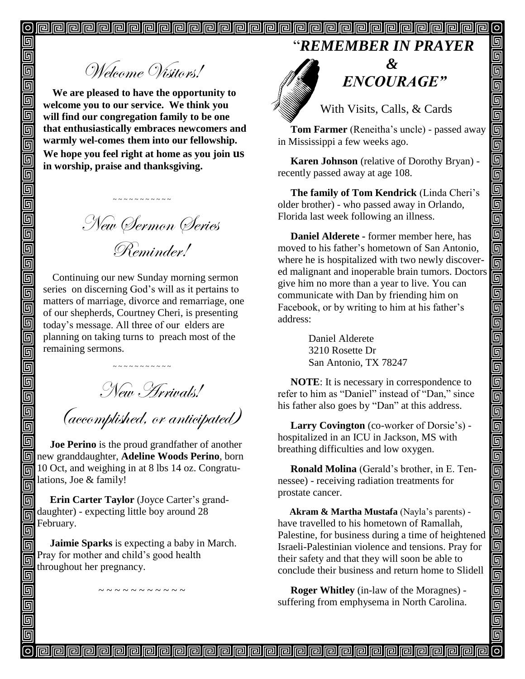"*REMEMBER IN PRAYER*

Welcome Visitors!

**We are pleased to have the opportunity to welcome you to our service. We think you will find our congregation family to be one that enthusiastically embraces newcomers and warmly wel-comes them into our fellowship. We hope you feel right at home as you join us in worship, praise and thanksgiving.**

New Sermon Series Reminder!

~ ~ ~ ~ ~ ~ ~ ~ ~ ~

Continuing our new Sunday morning sermon series on discerning God's will as it pertains to matters of marriage, divorce and remarriage, one of our shepherds, Courtney Cheri, is presenting today's message. All three of our elders are planning on taking turns to preach most of the remaining sermons.

~ ~ ~ ~ ~ ~ ~ ~ ~ ~ ~

New Arrivals!

(accomplished, or anticipated)

 **Joe Perino** is the proud grandfather of another new granddaughter, **Adeline Woods Perino**, born 10 Oct, and weighing in at 8 lbs 14 oz. Congratulations, Joe & family!

 **Erin Carter Taylor** (Joyce Carter's granddaughter) - expecting little boy around 28 February.

 **Jaimie Sparks** is expecting a baby in March. Pray for mother and child's good health throughout her pregnancy.

~ ~ ~ ~ ~ ~ ~ ~ ~ ~



" *ENCOURAGE"*

 $\overline{\mathsf{O}}$ 

回

回

可

回

واواواواواواواواواواواواوا

<u>同</u>

un<br>Die

واواها

900000

<u>alai</u>

900

<u>alai</u>

 $\overline{\mathbb{F}}$ 回

With Visits, Calls, & Cards

 **Tom Farmer** (Reneitha's uncle) - passed away in Mississippi a few weeks ago.

 **Karen Johnson** (relative of Dorothy Bryan) recently passed away at age 108.

 **The family of Tom Kendrick** (Linda Cheri's older brother) - who passed away in Orlando, Florida last week following an illness.

 **Daniel Alderete -** former member here, has moved to his father's hometown of San Antonio, where he is hospitalized with two newly discovered malignant and inoperable brain tumors. Doctors give him no more than a year to live. You can communicate with Dan by friending him on Facebook, or by writing to him at his father's address:

> Daniel Alderete 3210 Rosette Dr San Antonio, TX 78247

 **NOTE**: It is necessary in correspondence to refer to him as "Daniel" instead of "Dan," since his father also goes by "Dan" at this address.

 **Larry Covington** (co-worker of Dorsie's) hospitalized in an ICU in Jackson, MS with breathing difficulties and low oxygen.

 **Ronald Molina** (Gerald's brother, in E. Tennessee) - receiving radiation treatments for prostate cancer.

 **Akram & Martha Mustafa** (Nayla's parents) have travelled to his hometown of Ramallah, Palestine, for business during a time of heightened Israeli-Palestinian violence and tensions. Pray for their safety and that they will soon be able to conclude their business and return home to Slidell

 **Roger Whitley** (in-law of the Moragnes) suffering from emphysema in North Carolina.

<u>papapapapapapapapapapapapapapap</u>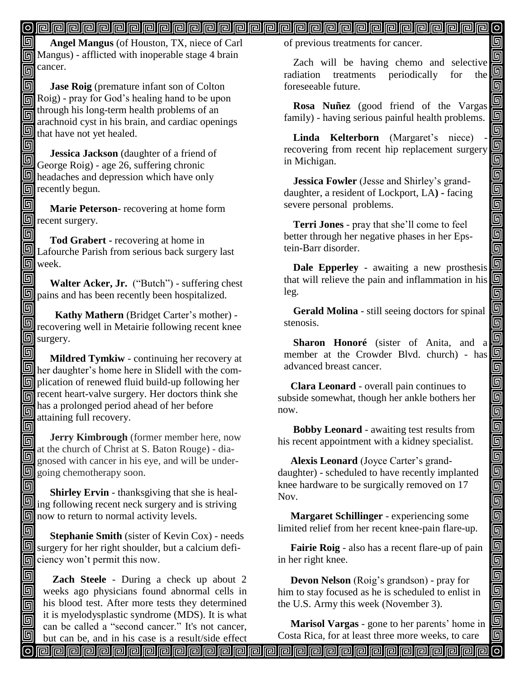#### $\overline{\mathsf{O}}$

اها  **Angel Mangus** (of Houston, TX, niece of Carl **同** Mangus) - afflicted with inoperable stage 4 brain  $\overline{m}$  cancer.

同 **Jase Roig** (premature infant son of Colton Roig) - pray for God's healing hand to be upon through his long-term health problems of an 同 arachnoid cyst in his brain, and cardiac openings that have not yet healed.

回  **Jessica Jackson** (daughter of a friend of George Roig) - age 26, suffering chronic headaches and depression which have only recently begun.

回  **Marie Peterson**- recovering at home form  $\Box$  recent surgery.

回 **Tod Grabert -** recovering at home in Lafourche Parish from serious back surgery last **h** week.

回 **Walter Acker, Jr.** ("Butch") - suffering chest **D** pains and has been recently been hospitalized.

回  **Kathy Mathern** (Bridget Carter's mother) recovering well in Metairie following recent knee **S** surgery.

回 **Mildred Tymkiw** - continuing her recovery at **here** here in Slidell with the com-**D** plication of renewed fluid build-up following her recent heart-valve surgery. Her doctors think she has a prolonged period ahead of her before 回 attaining full recovery. 回

 **Jerry Kimbrough** (former member here, now 同 at the church of Christ at S. Baton Rouge) - dia-回 gnosed with cancer in his eye, and will be undergoing chemotherapy soon. Î

回 **Shirley Ervin** - thanksgiving that she is heal- $\Box$  ing following recent neck surgery and is striving  $\boxed{9}$  now to return to normal activity levels.

回 **Stephanie Smith** (sister of Kevin Cox) - needs  $\boxed{5}$  surgery for her right shoulder, but a calcium deficiency won't permit this now.

回

回 同

同

回

**Zach Steele** - During a check up about 2 weeks ago physicians found abnormal cells in his blood test. After more tests they determined it is myelodysplastic syndrome (MDS). It is what can be called a "second cancer." It's not cancer, of previous treatments for cancer.

Zach will be having chemo and selective 回 radiation treatments periodically for the 回 foreseeable future.

回

回

da<br>Die

اوا واوا واواوا واوان

<u>alai</u>

 $\overline{\mathbb{F}}$ 

d<br>90

واواواواواواواواواواواواواوا

<u>|o||o</u>

 $\blacksquare$ 

回

**Rosa Nuñez** (good friend of the Vargas family) - having serious painful health problems.

Linda **Kelterborn** (Margaret's niece) recovering from recent hip replacement surgery in Michigan.

**Jessica Fowler** (Jesse and Shirley's granddaughter, a resident of Lockport, LA**) -** facing severe personal problems.

**Terri Jones** - pray that she'll come to feel better through her negative phases in her Epstein-Barr disorder.

**Dale Epperley** - awaiting a new prosthesis that will relieve the pain and inflammation in his leg.

**Gerald Molina** - still seeing doctors for spinal stenosis.

**Sharon Honoré** (sister of Anita, and a member at the Crowder Blvd. church) - has advanced breast cancer.

 **Clara Leonard** - overall pain continues to subside somewhat, though her ankle bothers her now.

 **Bobby Leonard** - awaiting test results from his recent appointment with a kidney specialist.

 **Alexis Leonard** (Joyce Carter's granddaughter) - scheduled to have recently implanted knee hardware to be surgically removed on 17 Nov.

 **Margaret Schillinger** - experiencing some limited relief from her recent knee-pain flare-up.

 **Fairie Roig** - also has a recent flare-up of pain in her right knee.

 **Devon Nelson** (Roig's grandson) - pray for him to stay focused as he is scheduled to enlist in the U.S. Army this week (November 3).

 **Marisol Vargas** - gone to her parents' home in Costa Rica, for at least three more weeks, to care

but can be, and in his case is a result/side effect வ